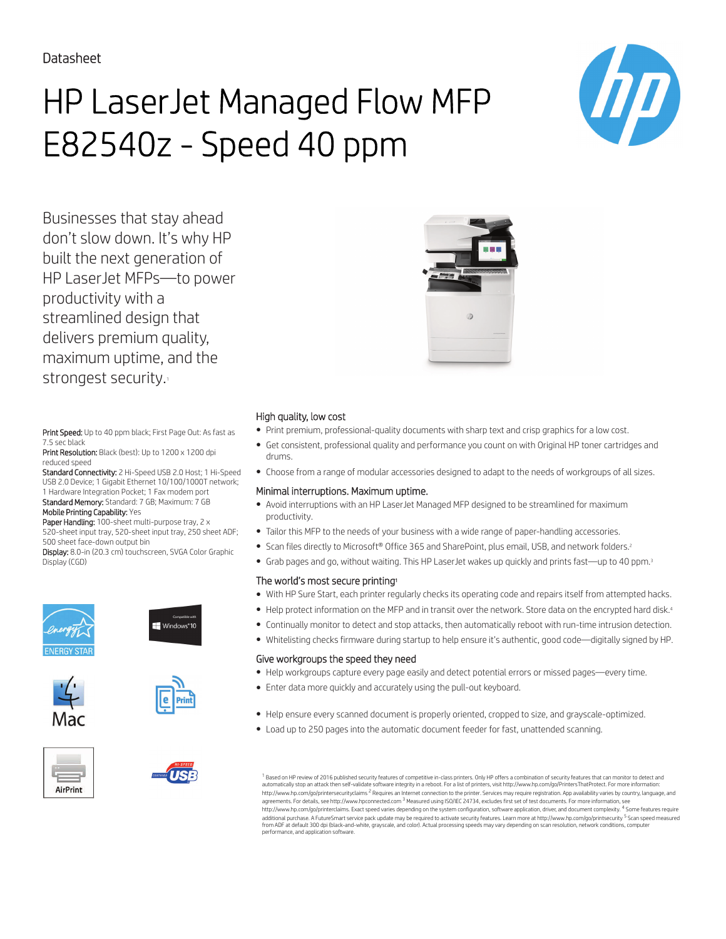# HP LaserJet Managed Flow MFP E82540z - Speed 40 ppm



Businesses that stay ahead don't slow down. It's why HP built the next generation of HP LaserJet MFPs—to power productivity with a streamlined design that delivers premium quality, maximum uptime, and the strongest security.

Print Speed: Up to 40 ppm black; First Page Out: As fast as 7.5 sec black

Print Resolution: Black (best): Up to 1200 x 1200 dpi reduced speed

Standard Connectivity: 2 Hi-Speed USB 2.0 Host; 1 Hi-Speed USB 2.0 Device; 1 Gigabit Ethernet 10/100/1000T network; 1 Hardware Integration Pocket; 1 Fax modem port Standard Memory: Standard: 7 GB; Maximum: 7 GB

Mobile Printing Capability: Yes

Paper Handling: 100-sheet multi-purpose tray, 2 x 520-sheet input tray, 520-sheet input tray, 250 sheet ADF; 500 sheet face-down output bin

Display: 8.0-in (20.3 cm) touchscreen, SVGA Color Graphic Display (CGD)















### High quality, low cost

- Print premium, professional-quality documents with sharp text and crisp graphics for a low cost.
- Get consistent, professional quality and performance you count on with Original HP toner cartridges and drums.
- Choose from a range of modular accessories designed to adapt to the needs of workgroups of all sizes.

#### Minimal interruptions. Maximum uptime.

- Avoid interruptions with an HP LaserJet Managed MFP designed to be streamlined for maximum productivity.
- Tailor this MFP to the needs of your business with a wide range of paper-handling accessories.
- Scan files directly to Microsoft® Office 365 and SharePoint, plus email, USB, and network folders.<sup>2</sup>
- Grab pages and go, without waiting. This HP LaserJet wakes up quickly and prints fast—up to 40 ppm.<sup>3</sup>

## The world's most secure printing<sup>1</sup>

- With HP Sure Start, each printer regularly checks its operating code and repairs itself from attempted hacks.
- Help protect information on the MFP and in transit over the network. Store data on the encrypted hard disk.<sup>4</sup>
- Continually monitor to detect and stop attacks, then automatically reboot with run-time intrusion detection.
- Whitelisting checks firmware during startup to help ensure it's authentic, good code—digitally signed by HP.

#### Give workgroups the speed they need

- Help workgroups capture every page easily and detect potential errors or missed pages—every time.
- Enter data more quickly and accurately using the pull-out keyboard.
- Help ensure every scanned document is properly oriented, cropped to size, and grayscale-optimized.
- Load up to 250 pages into the automatic document feeder for fast, unattended scanning.

 $^{\rm 1}$  Based on HP review of 2016 published security features of competitive in-class printers. Only HP offers a combination of security features that can monitor to detect and automatically stop an attack then self-validate software integrity in a reboot. For a list of printers, visit http://www.hp.com/go/PrintersThatProtect. For more information:<br>http://www.hp.com/go/printersecurityclaims <sup>2</sup> R agreements. For details, see http://www.hpconnected.com <sup>3</sup> Measured using ISO/IEC 24734, excludes first set of test documents. For more information, see http://www.hp.com/go/printerclaims. Exact speed varies depending on the system configuration, software application, driver, and document complexity. <sup>4</sup> Some features require<br>additional purchase. A FutureSmart service pack from ADF at default 300 dpi (black-and-white, grayscale, and color). Actual processing speeds may vary depending on scan resolution, network conditions, computer performance, and application software.